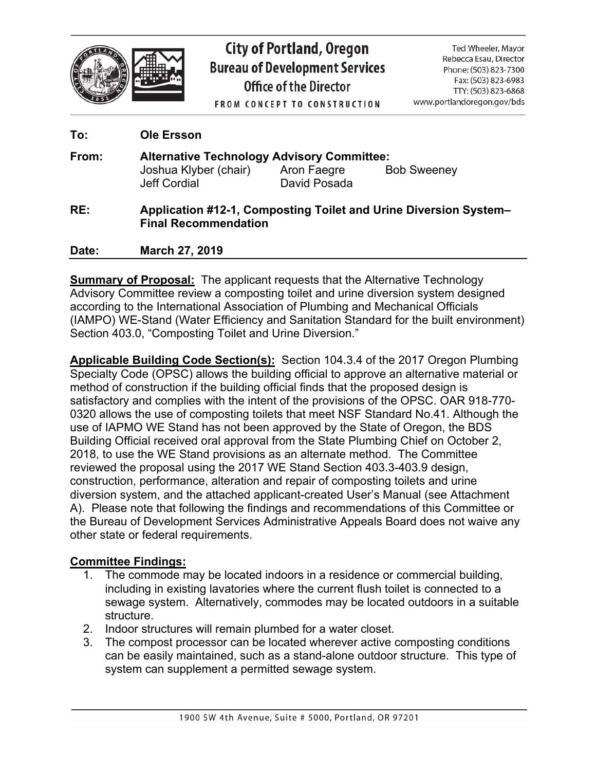

# **City of Portland, Oregon Bureau of Development Services** Office of the Director

Ted Wheeler, Mayor Rebecca Esau, Director Phone: (503) 823-7300 Fax: (503) 823-6983 TTY: (503) 823-6868 www.portlandoregon.gov/bds

**FROM CONCEPT TO CONSTRUCTION** 

| To:   | <b>Ole Ersson</b>                                                                                             |              |                    |
|-------|---------------------------------------------------------------------------------------------------------------|--------------|--------------------|
| From: | <b>Alternative Technology Advisory Committee:</b><br>Joshua Klyber (chair) Aron Faegre<br><b>Jeff Cordial</b> | David Posada | <b>Bob Sweeney</b> |
| RE:   | <b>Application #12-1, Composting Toilet and Urine Diversion System-</b><br><b>Final Recommendation</b>        |              |                    |
| Date: | <b>March 27, 2019</b>                                                                                         |              |                    |

**Summary of Proposal:** The applicant requests that the Alternative Technology Advisory Committee review a composting toilet and urine diversion system designed according to the International Association of Plumbing and Mechanical Officials (IAMPO) WE-Stand (Water Efficiency and Sanitation Standard for the built environment) Section 403.0, "Composting Toilet and Urine Diversion."

**Applicable Building Code Section(s):** Section 104.3.4 of the 2017 Oregon Plumbing Specialty Code (OPSC) allows the building official to approve an alternative material or method of construction if the building official finds that the proposed design is satisfactory and complies with the intent of the provisions of the OPSC. OAR 918-770- 0320 allows the use of composting toilets that meet NSF Standard No.41. Although the use of IAPMO WE Stand has not been approved by the State of Oregon, the BDS Building Official received oral approval from the State Plumbing Chief on October 2, 2018, to use the WE Stand provisions as an alternate method. The Committee reviewed the proposal using the 2017 WE Stand Section 403.3-403.9 design, construction, performance, alteration and repair of composting toilets and urine diversion system, and the attached applicant-created User's Manual (see Attachment A). Please note that following the findings and recommendations of this Committee or the Bureau of Development Services Administrative Appeals Board does not waive any other state or federal requirements.

## **Committee Findings:**

- 1. The commode may be located indoors in a residence or commercial building, including in existing lavatories where the current flush toilet is connected to a sewage system. Alternatively, commodes may be located outdoors in a suitable structure.
- 2. Indoor structures will remain plumbed for a water closet.
- 3. The compost processor can be located wherever active composting conditions can be easily maintained, such as a stand-alone outdoor structure. This type of system can supplement a permitted sewage system.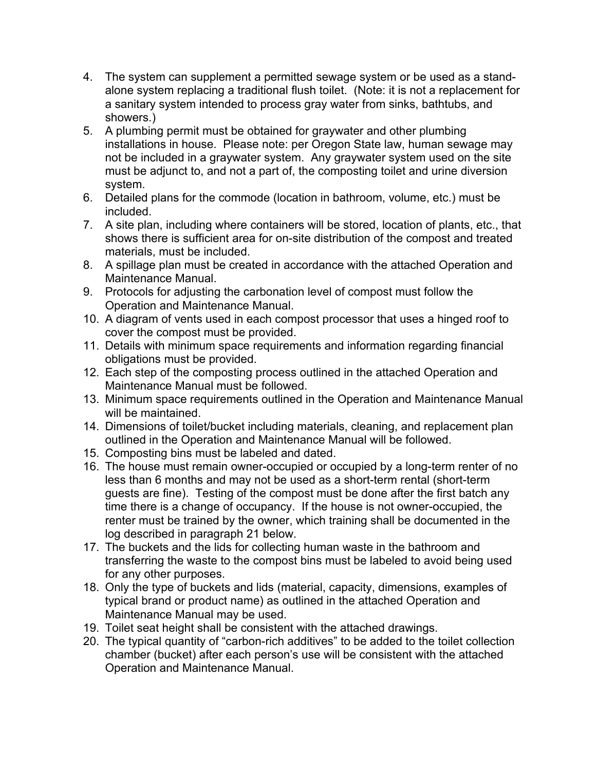- 4. The system can supplement a permitted sewage system or be used as a standalone system replacing a traditional flush toilet. (Note: it is not a replacement for a sanitary system intended to process gray water from sinks, bathtubs, and showers.)
- 5. A plumbing permit must be obtained for graywater and other plumbing installations in house. Please note: per Oregon State law, human sewage may not be included in a graywater system. Any graywater system used on the site must be adjunct to, and not a part of, the composting toilet and urine diversion system.
- 6. Detailed plans for the commode (location in bathroom, volume, etc.) must be included.
- 7. A site plan, including where containers will be stored, location of plants, etc., that shows there is sufficient area for on-site distribution of the compost and treated materials, must be included.
- 8. A spillage plan must be created in accordance with the attached Operation and Maintenance Manual.
- 9. Protocols for adjusting the carbonation level of compost must follow the Operation and Maintenance Manual.
- 10. A diagram of vents used in each compost processor that uses a hinged roof to cover the compost must be provided.
- 11. Details with minimum space requirements and information regarding financial obligations must be provided.
- 12. Each step of the composting process outlined in the attached Operation and Maintenance Manual must be followed.
- 13. Minimum space requirements outlined in the Operation and Maintenance Manual will be maintained.
- 14. Dimensions of toilet/bucket including materials, cleaning, and replacement plan outlined in the Operation and Maintenance Manual will be followed.
- 15. Composting bins must be labeled and dated.
- 16. The house must remain owner-occupied or occupied by a long-term renter of no less than 6 months and may not be used as a short-term rental (short-term guests are fine). Testing of the compost must be done after the first batch any time there is a change of occupancy. If the house is not owner-occupied, the renter must be trained by the owner, which training shall be documented in the log described in paragraph 21 below.
- 17. The buckets and the lids for collecting human waste in the bathroom and transferring the waste to the compost bins must be labeled to avoid being used for any other purposes.
- 18. Only the type of buckets and lids (material, capacity, dimensions, examples of typical brand or product name) as outlined in the attached Operation and Maintenance Manual may be used.
- 19. Toilet seat height shall be consistent with the attached drawings.
- 20. The typical quantity of "carbon-rich additives" to be added to the toilet collection chamber (bucket) after each person's use will be consistent with the attached Operation and Maintenance Manual.